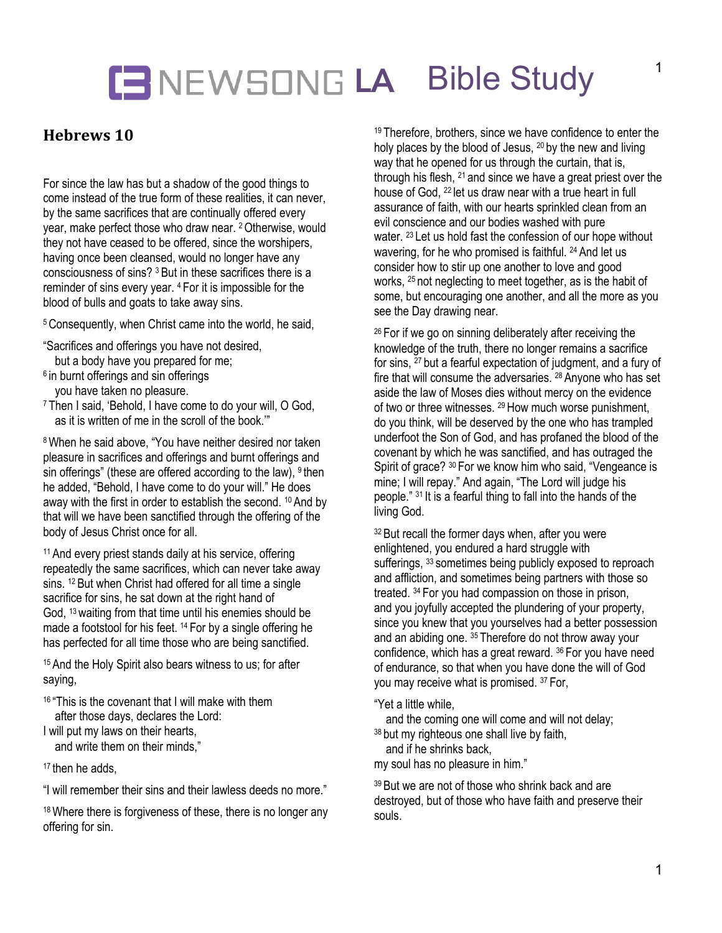## **LA** Bible Study

### **Hebrews 10**

For since the law has but a shadow of the good things to come instead of the true form of these realities, it can never, by the same sacrifices that are continually offered every year, make perfect those who draw near. <sup>2</sup> Otherwise, would they not have ceased to be offered, since the worshipers, having once been cleansed, would no longer have any consciousness of sins? <sup>3</sup> But in these sacrifices there is a reminder of sins every year. <sup>4</sup> For it is impossible for the blood of bulls and goats to take away sins.

5Consequently, when Christ came into the world, he said,

- "Sacrifices and offerings you have not desired,
- but a body have you prepared for me;
- $6$  in burnt offerings and sin offerings
- you have taken no pleasure.
- <sup>7</sup> Then I said, 'Behold, I have come to do your will, O God, as it is written of me in the scroll of the book.'"

<sup>8</sup> When he said above, "You have neither desired nor taken pleasure in sacrifices and offerings and burnt offerings and sin offerings" (these are offered according to the law), <sup>9</sup> then he added, "Behold, I have come to do your will." He does away with the first in order to establish the second. <sup>10</sup> And by that will we have been sanctified through the offering of the body of Jesus Christ once for all.

<sup>11</sup> And every priest stands daily at his service, offering repeatedly the same sacrifices, which can never take away sins. <sup>12</sup> But when Christ had offered for all time a single sacrifice for sins, he sat down at the right hand of God, <sup>13</sup> waiting from that time until his enemies should be made a footstool for his feet. <sup>14</sup> For by a single offering he has perfected for all time those who are being sanctified.

<sup>15</sup> And the Holy Spirit also bears witness to us; for after saying,

<sup>16</sup> "This is the covenant that I will make with them after those days, declares the Lord:

I will put my laws on their hearts,

and write them on their minds,"

17 then he adds

"I will remember their sins and their lawless deeds no more."

<sup>18</sup> Where there is forgiveness of these, there is no longer any offering for sin.

<sup>19</sup> Therefore, brothers, since we have confidence to enter the holy places by the blood of Jesus, <sup>20</sup> by the new and living way that he opened for us through the curtain, that is, through his flesh, <sup>21</sup> and since we have a great priest over the house of God, <sup>22</sup> let us draw near with a true heart in full assurance of faith, with our hearts sprinkled clean from an evil conscience and our bodies washed with pure water. <sup>23</sup> Let us hold fast the confession of our hope without wavering, for he who promised is faithful. <sup>24</sup> And let us consider how to stir up one another to love and good works, <sup>25</sup> not neglecting to meet together, as is the habit of some, but encouraging one another, and all the more as you see the Day drawing near.

<sup>26</sup> For if we go on sinning deliberately after receiving the knowledge of the truth, there no longer remains a sacrifice for sins, <sup>27</sup> but a fearful expectation of judgment, and a fury of fire that will consume the adversaries. <sup>28</sup> Anyone who has set aside the law of Moses dies without mercy on the evidence of two or three witnesses. <sup>29</sup> How much worse punishment, do you think, will be deserved by the one who has trampled underfoot the Son of God, and has profaned the blood of the covenant by which he was sanctified, and has outraged the Spirit of grace? <sup>30</sup> For we know him who said, "Vengeance is mine; I will repay." And again, "The Lord will judge his people." <sup>31</sup> It is a fearful thing to fall into the hands of the living God.

<sup>32</sup> But recall the former days when, after you were enlightened, you endured a hard struggle with sufferings, 33 sometimes being publicly exposed to reproach and affliction, and sometimes being partners with those so treated. <sup>34</sup> For you had compassion on those in prison, and you joyfully accepted the plundering of your property, since you knew that you yourselves had a better possession and an abiding one. <sup>35</sup> Therefore do not throw away your confidence, which has a great reward. <sup>36</sup> For you have need of endurance, so that when you have done the will of God you may receive what is promised. <sup>37</sup> For,

"Yet a little while,

and the coming one will come and will not delay;

38 but my righteous one shall live by faith,

and if he shrinks back,

my soul has no pleasure in him."

39 But we are not of those who shrink back and are destroyed, but of those who have faith and preserve their souls.